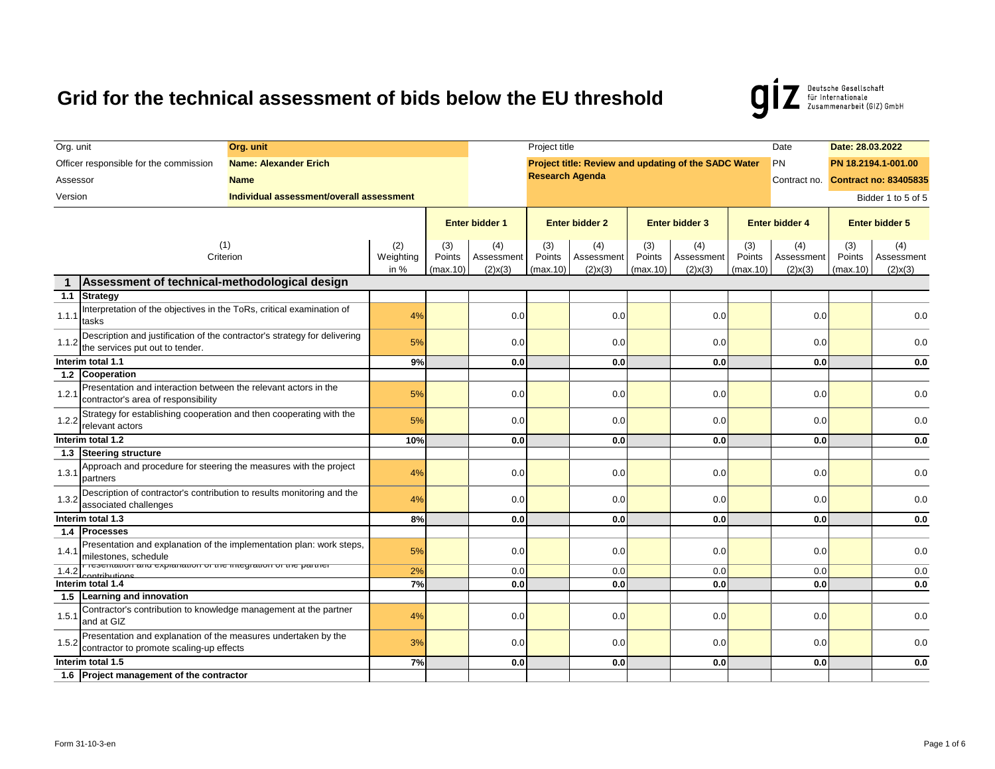Deutsche Gesellschaft<br>
für Internationale<br>
Zusammenarbeit (GIZ) GmbH g

| Org. unit                                     |                                                                                                              | Org. unit                                |                          |                           |                                    | Project title             |                                    |                           |                                                      |                           | Date                               | Date: 28.03.2022          |                                    |  |  |  |  |
|-----------------------------------------------|--------------------------------------------------------------------------------------------------------------|------------------------------------------|--------------------------|---------------------------|------------------------------------|---------------------------|------------------------------------|---------------------------|------------------------------------------------------|---------------------------|------------------------------------|---------------------------|------------------------------------|--|--|--|--|
|                                               | Officer responsible for the commission                                                                       | <b>Name: Alexander Erich</b>             |                          |                           |                                    |                           |                                    |                           | Project title: Review and updating of the SADC Water |                           | PN                                 |                           | PN 18.2194.1-001.00                |  |  |  |  |
| Assessor                                      |                                                                                                              | <b>Name</b>                              |                          |                           |                                    | <b>Research Agenda</b>    |                                    |                           |                                                      |                           |                                    |                           | Contract no. Contract no: 83405835 |  |  |  |  |
| Version                                       |                                                                                                              | Individual assessment/overall assessment |                          |                           |                                    |                           |                                    |                           |                                                      |                           |                                    | Bidder 1 to 5 of 5        |                                    |  |  |  |  |
|                                               |                                                                                                              |                                          |                          | <b>Enter bidder 1</b>     |                                    | <b>Enter bidder 2</b>     |                                    | <b>Enter bidder 3</b>     |                                                      | <b>Enter bidder 4</b>     |                                    | <b>Enter bidder 5</b>     |                                    |  |  |  |  |
|                                               | (1)<br>Criterion                                                                                             |                                          | (2)<br>Weighting<br>in % | (3)<br>Points<br>(max.10) | (4)<br>Assessment<br>$(2)$ x $(3)$ | (3)<br>Points<br>(max.10) | (4)<br>Assessment<br>$(2)$ x $(3)$ | (3)<br>Points<br>(max.10) | (4)<br>Assessment<br>$(2)$ x $(3)$                   | (3)<br>Points<br>(max.10) | (4)<br>Assessment<br>$(2)$ x $(3)$ | (3)<br>Points<br>(max.10) | (4)<br>Assessment<br>$(2)$ x $(3)$ |  |  |  |  |
| Assessment of technical-methodological design |                                                                                                              |                                          |                          |                           |                                    |                           |                                    |                           |                                                      |                           |                                    |                           |                                    |  |  |  |  |
|                                               | 1.1 Strategy                                                                                                 |                                          |                          |                           |                                    |                           |                                    |                           |                                                      |                           |                                    |                           |                                    |  |  |  |  |
| 1.1.1                                         | Interpretation of the objectives in the ToRs, critical examination of<br>tasks                               |                                          | 4%                       |                           | 0.0                                |                           | 0.0                                |                           | 0.0                                                  |                           | 0.0                                |                           | 0.0                                |  |  |  |  |
| 1.1.2                                         | Description and justification of the contractor's strategy for delivering<br>the services put out to tender. |                                          | 5%                       |                           | 0.0                                |                           | 0.0                                |                           | 0.0                                                  |                           | 0.0                                |                           | 0.0                                |  |  |  |  |
| Interim total 1.1                             |                                                                                                              | 9%                                       |                          | 0.0                       |                                    | 0.0                       |                                    | 0.0                       |                                                      | 0.0                       |                                    | 0.0                       |                                    |  |  |  |  |
|                                               | 1.2 Cooperation                                                                                              |                                          |                          |                           |                                    |                           |                                    |                           |                                                      |                           |                                    |                           |                                    |  |  |  |  |
| 1.2.1                                         | Presentation and interaction between the relevant actors in the<br>contractor's area of responsibility       |                                          | 5%                       |                           | 0.0                                |                           | 0.0                                |                           | 0.0                                                  |                           | 0.0                                |                           | 0.0                                |  |  |  |  |
| 1.2.2                                         | Strategy for establishing cooperation and then cooperating with the<br>relevant actors                       |                                          | 5%                       |                           | 0.0                                |                           | 0.0                                |                           | 0.0                                                  |                           | 0.0                                |                           | 0.0                                |  |  |  |  |
|                                               | Interim total 1.2                                                                                            |                                          | 10%                      |                           | 0.0                                |                           | 0.0                                |                           | 0.0                                                  |                           | 0.0                                |                           | 0.0                                |  |  |  |  |
|                                               | 1.3 Steering structure                                                                                       |                                          |                          |                           |                                    |                           |                                    |                           |                                                      |                           |                                    |                           |                                    |  |  |  |  |
| 1.3.1                                         | Approach and procedure for steering the measures with the project<br>partners                                |                                          | 4%                       |                           | 0.0                                |                           | 0.0                                |                           | 0.0                                                  |                           | 0.0                                |                           | 0.0                                |  |  |  |  |
| 1.3.2                                         | Description of contractor's contribution to results monitoring and the<br>associated challenges              |                                          | 4%                       |                           | 0.0                                |                           | 0.0                                |                           | 0.0                                                  |                           | 0.0                                |                           | 0.0                                |  |  |  |  |
|                                               | Interim total 1.3                                                                                            |                                          | 8%                       |                           | 0.0                                |                           | 0.0                                |                           | 0.0                                                  |                           | 0.0                                |                           | 0.0                                |  |  |  |  |
|                                               | 1.4 Processes                                                                                                |                                          |                          |                           |                                    |                           |                                    |                           |                                                      |                           |                                    |                           |                                    |  |  |  |  |
| 1.4.1                                         | Presentation and explanation of the implementation plan: work steps,<br>milestones, schedule                 |                                          | 5%                       |                           | 0.0                                |                           | 0.0                                |                           | 0.0                                                  |                           | 0.0                                |                           | 0.0                                |  |  |  |  |
| 1.4.2                                         | readmandir and explanation or the integration or the partner                                                 |                                          | 2%                       |                           | 0.0                                |                           | 0.0                                |                           | 0.0                                                  |                           | 0.0                                |                           | 0.0                                |  |  |  |  |
| Interim total 1.4                             |                                                                                                              | 7%                                       |                          | 0.0                       |                                    | 0.0                       |                                    | 0.0                       |                                                      | 0.0                       |                                    | 0.0                       |                                    |  |  |  |  |
|                                               | 1.5 Learning and innovation                                                                                  |                                          |                          |                           |                                    |                           |                                    |                           |                                                      |                           |                                    |                           |                                    |  |  |  |  |
| 1.5.1                                         | Contractor's contribution to knowledge management at the partner<br>and at GIZ                               |                                          | 4%                       |                           | 0.0                                |                           | 0.0                                |                           | 0.0                                                  |                           | 0.0                                |                           | 0.0                                |  |  |  |  |
| 1.5.2                                         | Presentation and explanation of the measures undertaken by the<br>contractor to promote scaling-up effects   |                                          | 3%                       |                           | 0.0                                |                           | 0.0                                |                           | 0.0                                                  |                           | 0.0                                |                           | 0.0                                |  |  |  |  |
|                                               | Interim total 1.5                                                                                            |                                          | 7%                       |                           | 0.0                                |                           | 0.0                                |                           | 0.0                                                  |                           | 0.0                                |                           | 0.0                                |  |  |  |  |
|                                               | 1.6 Project management of the contractor                                                                     |                                          |                          |                           |                                    |                           |                                    |                           |                                                      |                           |                                    |                           |                                    |  |  |  |  |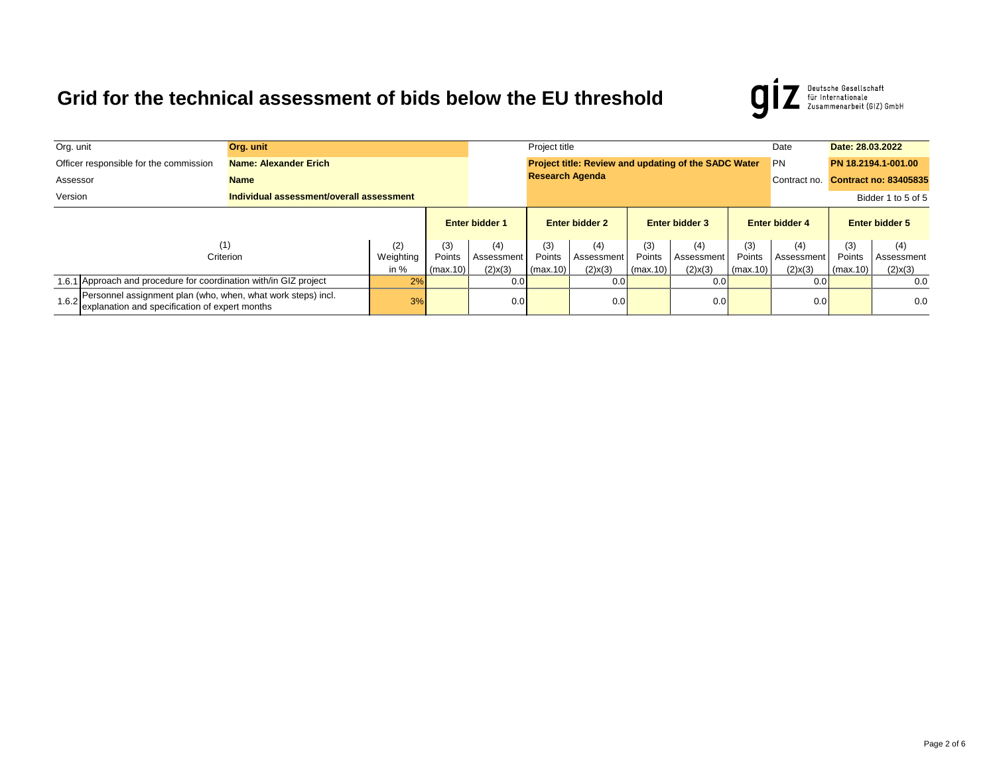Deutsche Gesellschaft<br>für Internationale<br>Zusammenarbeit (GIZ) GmbH  $\boldsymbol{g}$ 

| Org. unit                                           |                                                                                                                | Org. unit                                                               |           |                       |                           |                        | Project title                                        |                       |               |          |                       |                              | Date: 28.03.2022      |  |
|-----------------------------------------------------|----------------------------------------------------------------------------------------------------------------|-------------------------------------------------------------------------|-----------|-----------------------|---------------------------|------------------------|------------------------------------------------------|-----------------------|---------------|----------|-----------------------|------------------------------|-----------------------|--|
|                                                     | Officer responsible for the commission                                                                         | Name: Alexander Erich                                                   |           |                       |                           |                        | Project title: Review and updating of the SADC Water |                       |               |          | <b>PN</b>             |                              | PN 18.2194.1-001.00   |  |
| Assessor                                            | <b>Name</b>                                                                                                    |                                                                         |           |                       |                           | <b>Research Agenda</b> |                                                      |                       |               |          | Contract no.          | <b>Contract no: 83405835</b> |                       |  |
| Version<br>Individual assessment/overall assessment |                                                                                                                |                                                                         |           |                       |                           |                        |                                                      |                       |               |          |                       |                              | Bidder 1 to 5 of 5    |  |
|                                                     |                                                                                                                |                                                                         |           | <b>Enter bidder 1</b> |                           | <b>Enter bidder 2</b>  |                                                      | <b>Enter bidder 3</b> |               |          | <b>Enter bidder 4</b> |                              | <b>Enter bidder 5</b> |  |
|                                                     |                                                                                                                | (1)                                                                     | (2)       | (3)                   | (4)                       | (3)                    | (4)                                                  | (3)                   | (4)           | (3)      | (4)                   | (3)                          | (4)                   |  |
|                                                     |                                                                                                                | Criterion                                                               | Weighting | Points                | Assessment                | Points                 | Assessment                                           | Points                | Assessment    | Points   | Assessment            | Points                       | Assessment            |  |
| in $%$                                              |                                                                                                                |                                                                         |           |                       | $(2)$ x $(3)$<br>(max.10) | (max.10)               | $(2)$ x $(3)$                                        | $\lceil$ (max.10)     | $(2)$ x $(3)$ | (max.10) | $(2)$ x $(3)$         | (max.10)                     | $(2)$ x $(3)$         |  |
|                                                     |                                                                                                                | 1.6.1 Approach and procedure for coordination with/in GIZ project<br>2% |           | 0.0                   |                           | 0.0                    |                                                      | 0.01                  |               | 0.0      |                       | 0.0                          |                       |  |
| 1.6.2                                               | Personnel assignment plan (who, when, what work steps) incl.<br>explanation and specification of expert months |                                                                         | 3%        |                       | 0.0                       |                        | 0.0                                                  |                       | 0.0           |          | 0.0                   |                              | 0.0                   |  |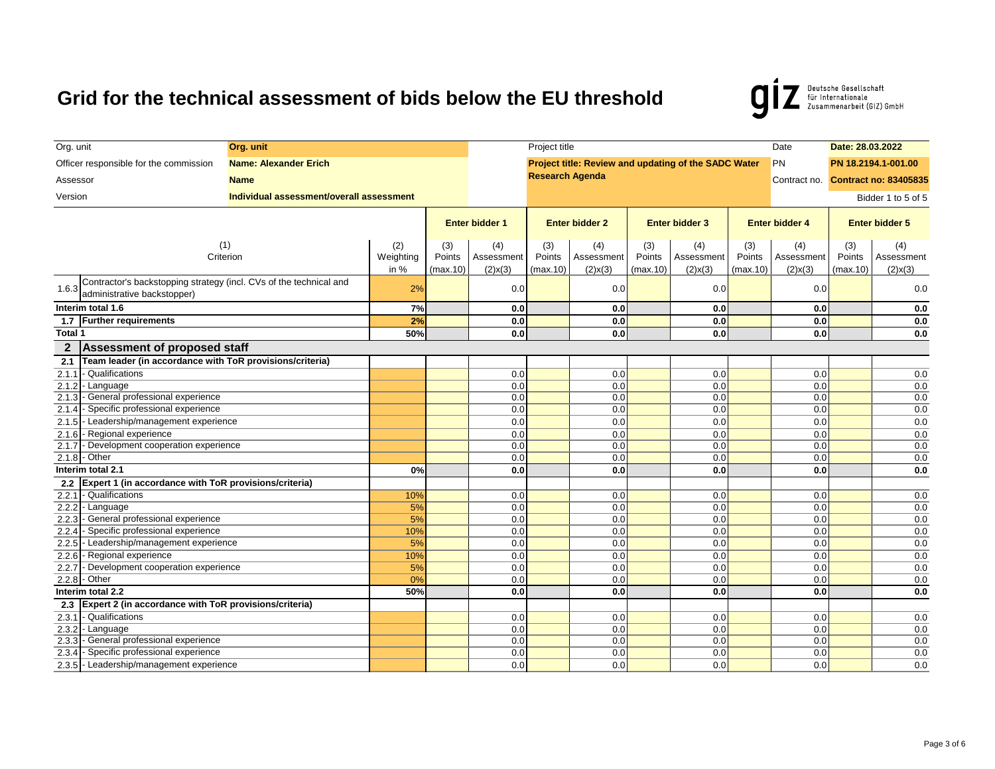Deutsche Gesellschaft<br>
für Internationale<br>
Zusammenarbeit (GIZ) GmbH g

| Org. unit      |                                                                            | Org. unit                                |        |                       |               | Project title          |               |                       |                                                      |            | Date                  | Date: 28.03.2022      |                                    |  |  |  |
|----------------|----------------------------------------------------------------------------|------------------------------------------|--------|-----------------------|---------------|------------------------|---------------|-----------------------|------------------------------------------------------|------------|-----------------------|-----------------------|------------------------------------|--|--|--|
|                | Officer responsible for the commission                                     | <b>Name: Alexander Erich</b>             |        |                       |               |                        |               |                       | Project title: Review and updating of the SADC Water |            | PN                    |                       | PN 18.2194.1-001.00                |  |  |  |
| Assessor       |                                                                            | <b>Name</b>                              |        |                       |               | <b>Research Agenda</b> |               |                       |                                                      |            |                       |                       | Contract no. Contract no: 83405835 |  |  |  |
|                |                                                                            |                                          |        |                       |               |                        |               |                       |                                                      |            |                       |                       |                                    |  |  |  |
| Version        |                                                                            | Individual assessment/overall assessment |        |                       |               |                        |               |                       |                                                      |            |                       |                       | Bidder 1 to 5 of 5                 |  |  |  |
|                |                                                                            |                                          |        | <b>Enter bidder 1</b> |               | <b>Enter bidder 2</b>  |               | <b>Enter bidder 3</b> |                                                      |            | <b>Enter bidder 4</b> | <b>Enter bidder 5</b> |                                    |  |  |  |
|                |                                                                            |                                          |        |                       |               |                        |               |                       |                                                      |            |                       |                       |                                    |  |  |  |
| (1)            |                                                                            | (2)                                      | (3)    | (4)                   | (3)           | (4)                    | (3)           | (4)                   | (3)                                                  | (4)        | (3)                   | (4)                   |                                    |  |  |  |
| Criterion      |                                                                            | Weighting                                | Points | Assessment            | Points        | Assessment             | Points        | Assessment            | Points                                               | Assessment | Points                | Assessment            |                                    |  |  |  |
|                |                                                                            |                                          | in $%$ | (max.10)              | $(2)$ x $(3)$ | (max.10)               | $(2)$ x $(3)$ | (max.10)              | $(2)$ x $(3)$                                        | (max.10)   | $(2)$ x $(3)$         | (max.10)              | $(2)$ x $(3)$                      |  |  |  |
|                | Contractor's backstopping strategy (incl. CVs of the technical and         |                                          | 2%     |                       | 0.0           |                        |               |                       | 0.0                                                  |            |                       |                       | 0.0                                |  |  |  |
| 1.6.3          | administrative backstopper)                                                |                                          |        |                       |               |                        | 0.0           |                       |                                                      |            | 0.0                   |                       |                                    |  |  |  |
|                | Interim total 1.6                                                          |                                          | 7%     |                       | 0.0           |                        | 0.0           |                       | 0.0                                                  |            | 0.0                   |                       | 0.0                                |  |  |  |
|                | 1.7 Further requirements                                                   |                                          | 2%     |                       | 0.0           |                        | 0.0           |                       | 0.0                                                  |            | 0.0                   |                       | 0.0                                |  |  |  |
| Total 1        |                                                                            |                                          | 50%    |                       | 0.0           |                        | 0.0           |                       | 0.0                                                  |            | 0.0                   |                       | 0.0                                |  |  |  |
| $\overline{2}$ | <b>Assessment of proposed staff</b>                                        |                                          |        |                       |               |                        |               |                       |                                                      |            |                       |                       |                                    |  |  |  |
| 2.1            | Team leader (in accordance with ToR provisions/criteria)                   |                                          |        |                       |               |                        |               |                       |                                                      |            |                       |                       |                                    |  |  |  |
| 2.1.1          | - Qualifications                                                           |                                          |        |                       | 0.0           |                        | 0.0           |                       | 0.0                                                  |            | 0.0                   |                       | 0.0                                |  |  |  |
| 2.1.2          | - Language                                                                 |                                          |        |                       | 0.0           |                        | 0.0           |                       | 0.0                                                  |            | 0.0                   |                       | 0.0                                |  |  |  |
| 2.1.3          | - General professional experience                                          |                                          |        |                       | 0.0           |                        | 0.0           |                       | 0.0                                                  |            | 0.0                   |                       | 0.0                                |  |  |  |
|                | 2.1.4 - Specific professional experience                                   |                                          |        |                       | 0.0           |                        | 0.0           |                       | 0.0                                                  |            | 0.0                   |                       | 0.0                                |  |  |  |
|                | 2.1.5 - Leadership/management experience                                   |                                          |        |                       | 0.0           |                        | 0.0           |                       | 0.0                                                  |            | 0.0                   |                       | $0.0\,$                            |  |  |  |
| 2.1.6          | - Regional experience                                                      |                                          |        |                       | 0.0           |                        | 0.0           |                       | 0.0                                                  |            | 0.0                   |                       | 0.0                                |  |  |  |
| 2.1.7          | - Development cooperation experience                                       |                                          |        |                       | 0.0           |                        | 0.0           |                       | 0.0                                                  |            | 0.0                   |                       | 0.0                                |  |  |  |
|                | $2.1.8 - Other$                                                            |                                          |        |                       | 0.0           |                        | 0.0           |                       | 0.0                                                  |            | 0.0                   |                       | 0.0                                |  |  |  |
|                | Interim total 2.1                                                          |                                          | 0%     |                       | 0.0           |                        | 0.0           |                       | 0.0                                                  |            | 0.0                   |                       | 0.0                                |  |  |  |
| 2.2            | Expert 1 (in accordance with ToR provisions/criteria)                      |                                          |        |                       |               |                        |               |                       |                                                      |            |                       |                       |                                    |  |  |  |
| 2.2.1          | - Qualifications                                                           |                                          | 10%    |                       | 0.0           |                        | 0.0           |                       | 0.0                                                  |            | 0.0                   |                       | 0.0                                |  |  |  |
| 2.2.2          | - Language                                                                 |                                          | 5%     |                       | 0.0           |                        | 0.0           |                       | 0.0                                                  |            | 0.0                   |                       | 0.0                                |  |  |  |
| 2.2.3          | - General professional experience                                          |                                          | 5%     |                       | 0.0           |                        | 0.0           |                       | 0.0                                                  |            | 0.0                   |                       | 0.0                                |  |  |  |
| 2.2.4          | - Specific professional experience                                         |                                          | 10%    |                       | 0.0           |                        | 0.0           |                       | 0.0                                                  |            | 0.0                   |                       | 0.0                                |  |  |  |
|                | 2.2.5 - Leadership/management experience                                   |                                          | 5%     |                       | 0.0           |                        | 0.0           |                       | 0.0                                                  |            | 0.0                   |                       | 0.0                                |  |  |  |
| 2.2.6          | - Regional experience                                                      |                                          | 10%    |                       | 0.0           |                        | 0.0           |                       | 0.0                                                  |            | 0.0                   |                       | 0.0                                |  |  |  |
| 2.2.7          | - Development cooperation experience                                       |                                          | 5%     |                       | 0.0           |                        | 0.0           |                       | 0.0                                                  |            | 0.0                   |                       | 0.0                                |  |  |  |
|                | 2.2.8 - Other                                                              |                                          | 0%     |                       | 0.0           |                        | 0.0           |                       | 0.0                                                  |            | 0.0                   |                       | 0.0                                |  |  |  |
| 2.3            | Interim total 2.2<br>Expert 2 (in accordance with ToR provisions/criteria) |                                          | 50%    |                       | 0.0           |                        | 0.0           |                       | 0.0                                                  |            | 0.0                   |                       | 0.0                                |  |  |  |
| 2.3.1          | - Qualifications                                                           |                                          |        |                       | 0.0           |                        | 0.0           |                       | 0.0                                                  |            | 0.0                   |                       | 0.0                                |  |  |  |
| 2.3.2          | - Language                                                                 |                                          |        |                       | 0.0           |                        | 0.0           |                       | 0.0                                                  |            | 0.0                   |                       | 0.0                                |  |  |  |
| 2.3.3          | - General professional experience                                          |                                          |        |                       | 0.0           |                        | 0.0           |                       | 0.0                                                  |            | 0.0                   |                       | 0.0                                |  |  |  |
|                | 2.3.4 - Specific professional experience                                   |                                          |        |                       | 0.0           |                        | 0.0           |                       | 0.0                                                  |            | 0.0                   |                       | 0.0                                |  |  |  |
|                | 2.3.5 - Leadership/management experience                                   |                                          |        |                       | 0.0           |                        | 0.0           |                       | 0.0                                                  |            | 0.0                   |                       | 0.0                                |  |  |  |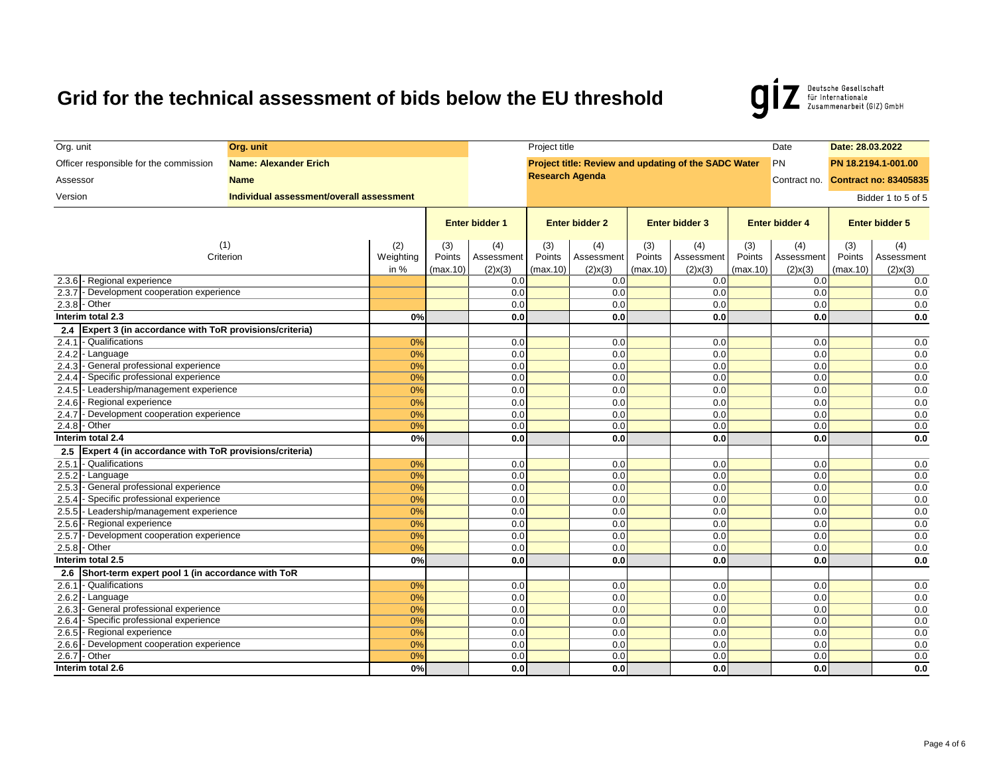Deutsche Gesellschaft<br>für Internationale<br>Zusammenarbeit (GIZ) GmbH **g** 

| Org. unit                                                                        | Org. unit                                |           |                       |               | Project title          |                  |                       |                                                      |                       | Date          | Date: 28.03.2022                   |                    |  |  |  |
|----------------------------------------------------------------------------------|------------------------------------------|-----------|-----------------------|---------------|------------------------|------------------|-----------------------|------------------------------------------------------|-----------------------|---------------|------------------------------------|--------------------|--|--|--|
| Officer responsible for the commission                                           | <b>Name: Alexander Erich</b>             |           |                       |               |                        |                  |                       | Project title: Review and updating of the SADC Water |                       | PN            | PN 18.2194.1-001.00                |                    |  |  |  |
| Assessor                                                                         | <b>Name</b>                              |           |                       |               | <b>Research Agenda</b> |                  |                       |                                                      |                       |               | Contract no. Contract no: 83405835 |                    |  |  |  |
|                                                                                  |                                          |           |                       |               |                        |                  |                       |                                                      |                       |               |                                    |                    |  |  |  |
| Version                                                                          | Individual assessment/overall assessment |           |                       |               |                        |                  |                       |                                                      |                       |               |                                    | Bidder 1 to 5 of 5 |  |  |  |
|                                                                                  |                                          |           | <b>Enter bidder 1</b> |               | <b>Enter bidder 2</b>  |                  | <b>Enter bidder 3</b> |                                                      | <b>Enter bidder 4</b> |               | <b>Enter bidder 5</b>              |                    |  |  |  |
|                                                                                  |                                          |           |                       |               |                        |                  |                       |                                                      |                       |               |                                    |                    |  |  |  |
|                                                                                  | (1)                                      | (2)       | (3)                   | (4)           | (3)                    | (4)              | (3)                   | (4)                                                  | (3)                   | (4)           | (3)                                | (4)                |  |  |  |
|                                                                                  | Criterion                                | Weighting | Points                | Assessment    | Points                 | Assessment       | Points                | Assessment                                           | Points                | Assessment    | Points                             | Assessment         |  |  |  |
|                                                                                  |                                          | in $%$    | (max.10)              | $(2)$ x $(3)$ | (max.10)               | $(2)$ x $(3)$    | (max.10)              | $(2)$ x $(3)$                                        | (max.10)              | $(2)$ x $(3)$ | (max.10)                           | $(2)$ x $(3)$      |  |  |  |
| 2.3.6 - Regional experience                                                      |                                          |           |                       | 0.0           |                        | 0.0              |                       | 0.0                                                  |                       | 0.0           |                                    | 0.0                |  |  |  |
| - Development cooperation experience<br>2.3.7                                    |                                          |           |                       | 0.0           |                        | 0.0              |                       | 0.0                                                  |                       | 0.0           |                                    | 0.0                |  |  |  |
| 2.3.8 - Other<br>Interim total 2.3                                               |                                          | 0%        |                       | 0.0           |                        | 0.0<br>0.0       |                       | 0.0<br>0.0                                           |                       | 0.0<br>0.0    |                                    | 0.0                |  |  |  |
|                                                                                  |                                          |           |                       | 0.0           |                        |                  |                       |                                                      |                       |               |                                    | 0.0                |  |  |  |
| Expert 3 (in accordance with ToR provisions/criteria)<br>2.4<br>- Qualifications |                                          |           |                       |               |                        |                  |                       |                                                      |                       |               |                                    |                    |  |  |  |
| 2.4.1<br>2.4.2<br>- Language                                                     |                                          | 0%<br>0%  |                       | 0.0<br>0.0    |                        | 0.0<br>0.0       |                       | 0.0<br>0.0                                           |                       | 0.0<br>0.0    |                                    | 0.0<br>0.0         |  |  |  |
| - General professional experience<br>2.4.3                                       |                                          | 0%        |                       | 0.0           |                        | 0.0              |                       | 0.0                                                  |                       | 0.0           |                                    | 0.0                |  |  |  |
| 2.4.4<br>- Specific professional experience                                      |                                          | 0%        |                       | 0.0           |                        | 0.0              |                       | 0.0                                                  |                       | 0.0           |                                    | 0.0                |  |  |  |
| 2.4.5 - Leadership/management experience                                         |                                          | 0%        |                       | 0.0           |                        | 0.0              |                       | 0.0                                                  |                       | 0.0           |                                    | 0.0                |  |  |  |
| 2.4.6 - Regional experience                                                      |                                          | 0%        |                       | 0.0           |                        | 0.0              |                       | 0.0                                                  |                       | 0.0           |                                    | 0.0                |  |  |  |
| 2.4.7<br>- Development cooperation experience                                    |                                          | 0%        |                       | 0.0           |                        | 0.0              |                       | 0.0                                                  |                       | 0.0           |                                    | 0.0                |  |  |  |
| 2.4.8 - Other                                                                    |                                          | 0%        |                       | 0.0           |                        | 0.0              |                       | 0.0                                                  |                       | 0.0           |                                    | 0.0                |  |  |  |
| Interim total 2.4                                                                |                                          | 0%        |                       | 0.0           |                        | 0.0              |                       | 0.0                                                  |                       | 0.0           |                                    | 0.0                |  |  |  |
| Expert 4 (in accordance with ToR provisions/criteria)<br>2.5                     |                                          |           |                       |               |                        |                  |                       |                                                      |                       |               |                                    |                    |  |  |  |
| 2.5.1<br>- Qualifications                                                        |                                          | 0%        |                       | 0.0           |                        | 0.0              |                       | 0.0                                                  |                       | 0.0           |                                    | 0.0                |  |  |  |
| 2.5.2<br>- Language                                                              |                                          | 0%        |                       | 0.0           |                        | 0.0              |                       | 0.0                                                  |                       | 0.0           |                                    | 0.0                |  |  |  |
| - General professional experience<br>2.5.3                                       |                                          | 0%        |                       | 0.0           |                        | 0.0              |                       | 0.0                                                  |                       | 0.0           |                                    | 0.0                |  |  |  |
| - Specific professional experience<br>2.5.4                                      |                                          | 0%        |                       | 0.0           |                        | 0.0              |                       | 0.0                                                  |                       | 0.0           |                                    | 0.0                |  |  |  |
| 2.5.5 - Leadership/management experience                                         |                                          | 0%        |                       | 0.0           |                        | 0.0              |                       | 0.0                                                  |                       | 0.0           |                                    | 0.0                |  |  |  |
| - Regional experience<br>2.5.6                                                   |                                          | 0%        |                       | 0.0           |                        | 0.0              |                       | 0.0                                                  |                       | 0.0           |                                    | 0.0                |  |  |  |
| - Development cooperation experience<br>2.5.7                                    |                                          | 0%        |                       | 0.0           |                        | 0.0              |                       | 0.0                                                  |                       | 0.0           |                                    | 0.0                |  |  |  |
| $2.5.8 - Other$                                                                  |                                          | 0%        |                       | 0.0           |                        | 0.0              |                       | 0.0                                                  |                       | 0.0           |                                    | 0.0                |  |  |  |
| Interim total 2.5                                                                |                                          | 0%        |                       | 0.0           |                        | 0.0              |                       | 0.0                                                  |                       | 0.0           |                                    | 0.0                |  |  |  |
| Short-term expert pool 1 (in accordance with ToR<br>2.6                          |                                          |           |                       |               |                        |                  |                       |                                                      |                       |               |                                    |                    |  |  |  |
| - Qualifications<br>2.6.1                                                        |                                          | 0%        |                       | 0.0           |                        | 0.0              |                       | 0.0                                                  |                       | 0.0           |                                    | 0.0                |  |  |  |
| 2.6.2<br>- Language                                                              |                                          | 0%        |                       | 0.0           |                        | 0.0              |                       | 0.0                                                  |                       | 0.0           |                                    | 0.0                |  |  |  |
| - General professional experience<br>2.6.3                                       |                                          | 0%        |                       | 0.0           |                        | 0.0              |                       | 0.0                                                  |                       | 0.0           |                                    | 0.0                |  |  |  |
| - Specific professional experience<br>2.6.4                                      |                                          | 0%        |                       | 0.0           |                        | 0.0              |                       | 0.0                                                  |                       | 0.0           |                                    | 0.0                |  |  |  |
| 2.6.5<br>- Regional experience                                                   |                                          | 0%        |                       | 0.0           |                        | 0.0              |                       | 0.0                                                  |                       | 0.0           |                                    | 0.0                |  |  |  |
| - Development cooperation experience<br>2.6.6                                    |                                          | 0%        |                       | 0.0           |                        | 0.0              |                       | 0.0                                                  |                       | 0.0           |                                    | 0.0                |  |  |  |
| 2.6.7 - Other                                                                    |                                          | 0%        |                       | 0.0           |                        | 0.0              |                       | 0.0                                                  |                       | 0.0           |                                    | 0.0                |  |  |  |
| Interim total 2.6                                                                |                                          | 0%        |                       | 0.0           |                        | 0.0 <sub>l</sub> |                       | 0.0                                                  |                       | 0.0           |                                    | 0.0                |  |  |  |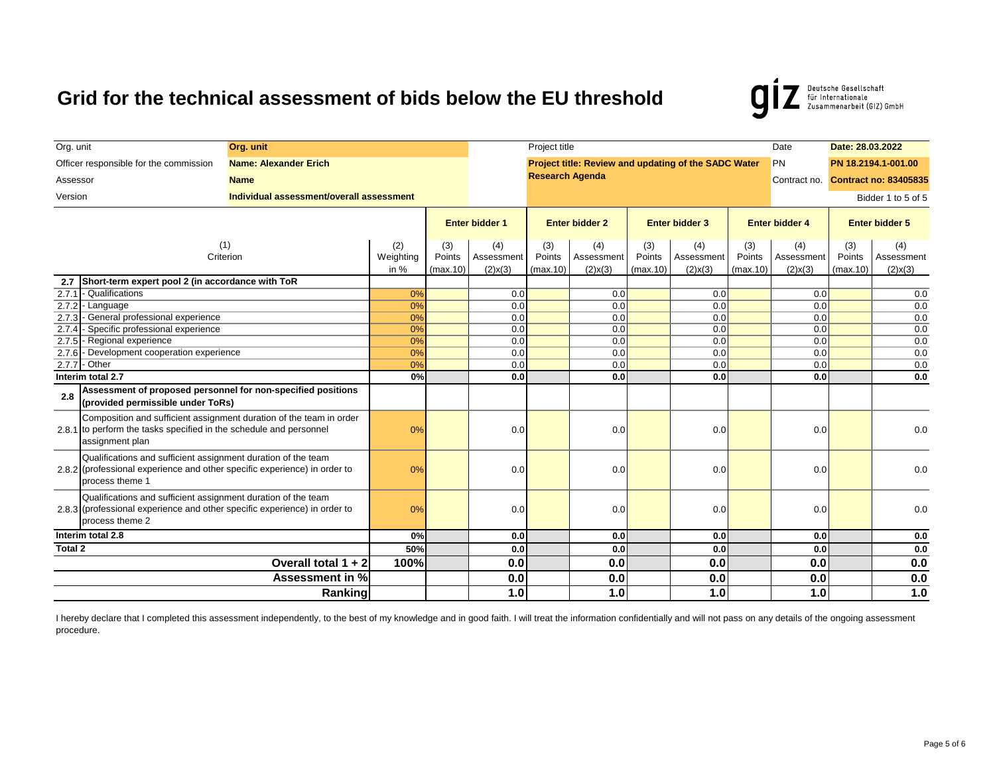Deutsche Gesellschaft<br>
für Internationale<br>
Zusammenarbeit (GIZ) GmbH g

| Org. unit                                                                                                                                                     | Org. unit                                |                            |                           |                                    | Project title             |                                    |                           |                                                      |                           | Date                               | Date: 28.03.2022          |                                    |
|---------------------------------------------------------------------------------------------------------------------------------------------------------------|------------------------------------------|----------------------------|---------------------------|------------------------------------|---------------------------|------------------------------------|---------------------------|------------------------------------------------------|---------------------------|------------------------------------|---------------------------|------------------------------------|
| Officer responsible for the commission                                                                                                                        | <b>Name: Alexander Erich</b>             |                            |                           |                                    |                           |                                    |                           | Project title: Review and updating of the SADC Water |                           | <b>PN</b>                          |                           | PN 18.2194.1-001.00                |
| Assessor                                                                                                                                                      | <b>Name</b>                              |                            |                           |                                    | <b>Research Agenda</b>    |                                    |                           |                                                      |                           |                                    |                           | Contract no. Contract no: 83405835 |
| Version                                                                                                                                                       | Individual assessment/overall assessment |                            |                           |                                    |                           |                                    |                           |                                                      |                           |                                    |                           | Bidder 1 to 5 of 5                 |
|                                                                                                                                                               |                                          |                            | <b>Enter bidder 1</b>     |                                    | <b>Enter bidder 2</b>     |                                    | <b>Enter bidder 3</b>     |                                                      | <b>Enter bidder 4</b>     |                                    | <b>Enter bidder 5</b>     |                                    |
| (1)<br>Criterion                                                                                                                                              |                                          | (2)<br>Weighting<br>in $%$ | (3)<br>Points<br>(max.10) | (4)<br>Assessment<br>$(2)$ x $(3)$ | (3)<br>Points<br>(max.10) | (4)<br>Assessment<br>$(2)$ x $(3)$ | (3)<br>Points<br>(max.10) | (4)<br>Assessment<br>$(2)$ x $(3)$                   | (3)<br>Points<br>(max.10) | (4)<br>Assessment<br>$(2)$ x $(3)$ | (3)<br>Points<br>(max.10) | (4)<br>Assessment<br>$(2)$ x $(3)$ |
| Short-term expert pool 2 (in accordance with ToR<br>2.7                                                                                                       |                                          |                            |                           |                                    |                           |                                    |                           |                                                      |                           |                                    |                           |                                    |
| - Qualifications<br>2.7.1                                                                                                                                     |                                          | 0%                         |                           | 0.0                                |                           | 0.0                                |                           | 0.0                                                  |                           | 0.0                                |                           | 0.0                                |
| 2.7.2 - Language                                                                                                                                              |                                          | 0%                         |                           | 0.0                                |                           | 0.0                                |                           | 0.0                                                  |                           | 0.0                                |                           | 0.0                                |
| 2.7.3 - General professional experience<br>- Specific professional experience<br>2.7.4                                                                        |                                          | 0%<br>0%                   |                           | 0.0<br>0.0                         |                           | $\overline{0.0}$<br>0.0            |                           | 0.0<br>0.0                                           |                           | 0.0<br>0.0                         |                           | 0.0                                |
| 2.7.5 - Regional experience                                                                                                                                   |                                          | 0%                         |                           | 0.0                                |                           | 0.0                                |                           | 0.0                                                  |                           | 0.0                                |                           | 0.0<br>0.0                         |
| - Development cooperation experience<br>2.7.6                                                                                                                 |                                          | 0%                         |                           | 0.0                                |                           | 0.0                                |                           | 0.0                                                  |                           | 0.0                                |                           | 0.0                                |
| 2.7.7 - Other                                                                                                                                                 |                                          | 0%                         |                           | 0.0                                |                           | 0.0                                |                           | 0.0                                                  |                           | 0.0                                |                           | 0.0                                |
| Interim total 2.7                                                                                                                                             |                                          | 0%                         |                           | 0.0                                |                           | 0.0 <sub>l</sub>                   |                           | 0.0                                                  |                           | 0.0                                |                           | 0.0                                |
| Assessment of proposed personnel for non-specified positions<br>2.8<br>(provided permissible under ToRs)                                                      |                                          |                            |                           |                                    |                           |                                    |                           |                                                      |                           |                                    |                           |                                    |
| Composition and sufficient assignment duration of the team in order<br>2.8.1 to perform the tasks specified in the schedule and personnel<br>assignment plan  |                                          | 0%                         |                           | 0.0                                |                           | 0.0                                |                           | 0.0                                                  |                           | 0.0                                |                           | 0.0                                |
| Qualifications and sufficient assignment duration of the team<br>2.8.2 (professional experience and other specific experience) in order to<br>process theme 1 |                                          | 0%                         |                           | 0.0                                |                           | 0.0                                |                           | 0.0                                                  |                           | 0.0                                |                           | 0.0                                |
| Qualifications and sufficient assignment duration of the team<br>2.8.3 (professional experience and other specific experience) in order to<br>process theme 2 |                                          | 0%                         |                           | 0.0                                |                           | 0.0                                |                           | 0.0                                                  |                           | 0.0                                |                           | 0.0                                |
| Interim total 2.8                                                                                                                                             |                                          | 0%                         |                           | 0.0                                |                           | 0.0 <sub>l</sub>                   |                           | 0.0                                                  |                           | 0.0                                |                           | 0.0                                |
| Total 2                                                                                                                                                       |                                          | 50%                        |                           | 0.0                                |                           | 0.0 <sub>l</sub>                   |                           | 0.0                                                  |                           | 0.0                                |                           | 0.0                                |
|                                                                                                                                                               | Overall total $1 + 2$                    | 100%                       |                           | 0.0                                |                           | 0.0                                |                           | 0.0                                                  |                           | 0.0                                |                           | 0.0                                |
|                                                                                                                                                               | Assessment in %                          |                            |                           | 0.0                                |                           | 0.0                                |                           | 0.0                                                  |                           | 0.0                                |                           | 0.0                                |
|                                                                                                                                                               | Ranking                                  |                            |                           | 1.0                                |                           | 1.0                                |                           | 1.0                                                  |                           | 1.0                                |                           | $1.0$                              |

I hereby declare that I completed this assessment independently, to the best of my knowledge and in good faith. I will treat the information confidentially and will not pass on any details of the ongoing assessment procedure.